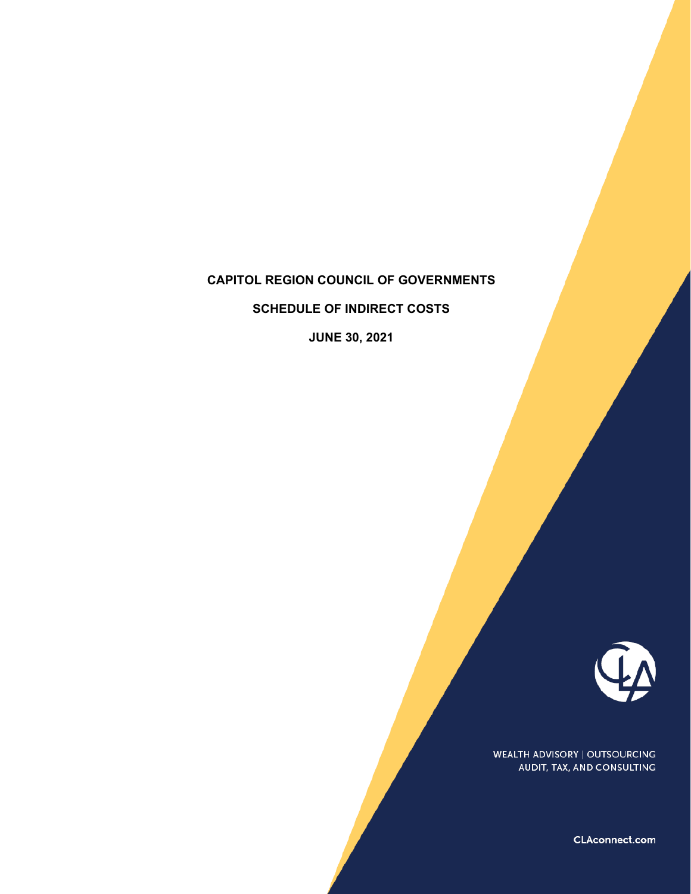# **CAPITOL REGION COUNCIL OF GOVERNMENTS**

**SCHEDULE OF INDIRECT COSTS** 

**JUNE 30, 2021** 



WEALTH ADVISORY | OUTSOURCING AUDIT, TAX, AND CONSULTING

CLAconnect.com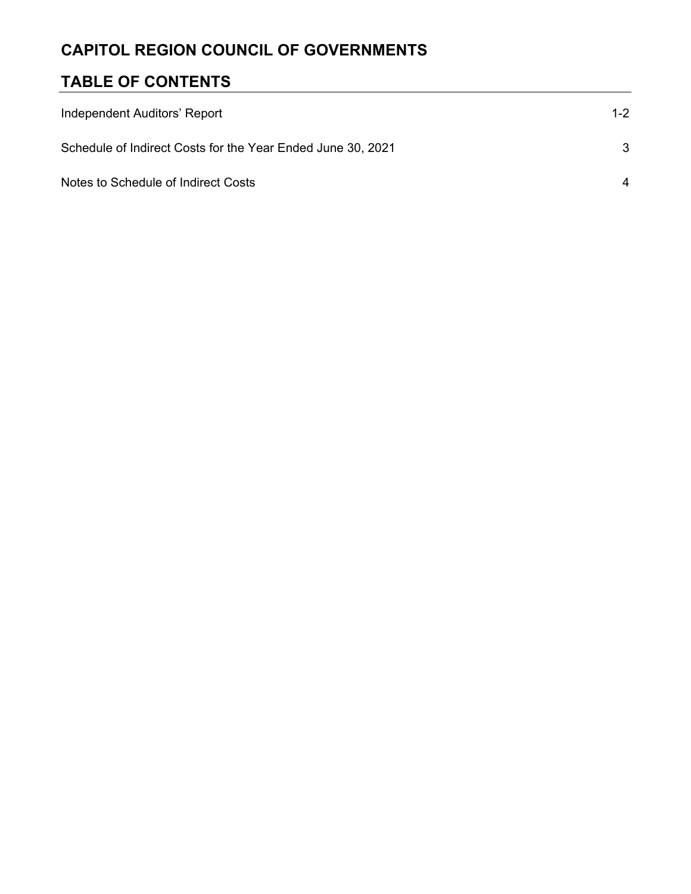# **TABLE OF CONTENTS**

| Independent Auditors' Report                                | $1 - 2$ |
|-------------------------------------------------------------|---------|
| Schedule of Indirect Costs for the Year Ended June 30, 2021 | 3       |
| Notes to Schedule of Indirect Costs                         | 4       |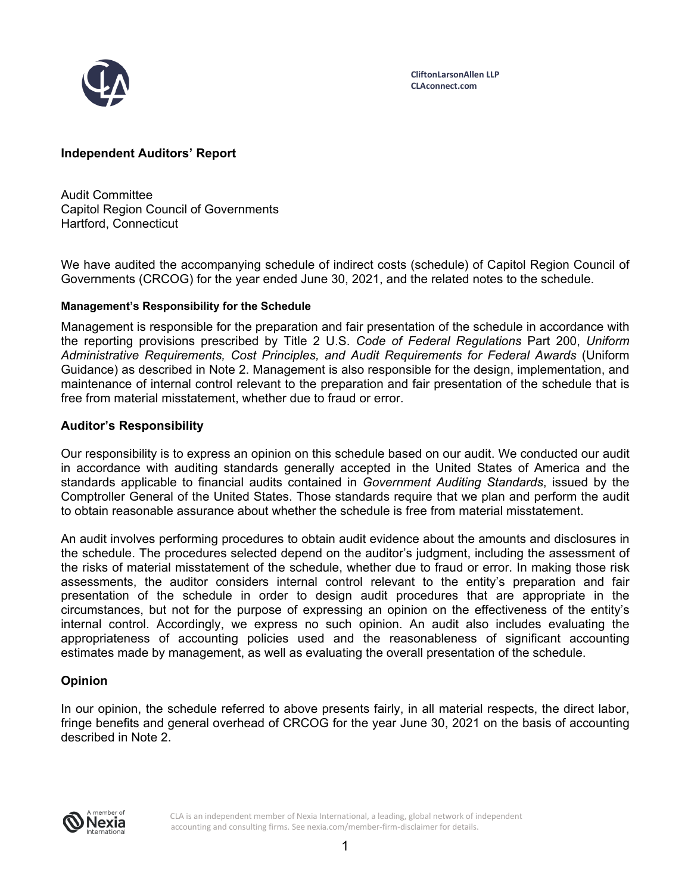

**CliftonLarsonAllen LLP CLAconnect.com**

## **Independent Auditors' Report**

Audit Committee Capitol Region Council of Governments Hartford, Connecticut

We have audited the accompanying schedule of indirect costs (schedule) of Capitol Region Council of Governments (CRCOG) for the year ended June 30, 2021, and the related notes to the schedule.

#### **Management's Responsibility for the Schedule**

Management is responsible for the preparation and fair presentation of the schedule in accordance with the reporting provisions prescribed by Title 2 U.S. *Code of Federal Regulations* Part 200, *Uniform Administrative Requirements, Cost Principles, and Audit Requirements for Federal Awards* (Uniform Guidance) as described in Note 2. Management is also responsible for the design, implementation, and maintenance of internal control relevant to the preparation and fair presentation of the schedule that is free from material misstatement, whether due to fraud or error.

## **Auditor's Responsibility**

Our responsibility is to express an opinion on this schedule based on our audit. We conducted our audit in accordance with auditing standards generally accepted in the United States of America and the standards applicable to financial audits contained in *Government Auditing Standards*, issued by the Comptroller General of the United States. Those standards require that we plan and perform the audit to obtain reasonable assurance about whether the schedule is free from material misstatement.

An audit involves performing procedures to obtain audit evidence about the amounts and disclosures in the schedule. The procedures selected depend on the auditor's judgment, including the assessment of the risks of material misstatement of the schedule, whether due to fraud or error. In making those risk assessments, the auditor considers internal control relevant to the entity's preparation and fair presentation of the schedule in order to design audit procedures that are appropriate in the circumstances, but not for the purpose of expressing an opinion on the effectiveness of the entity's internal control. Accordingly, we express no such opinion. An audit also includes evaluating the appropriateness of accounting policies used and the reasonableness of significant accounting estimates made by management, as well as evaluating the overall presentation of the schedule.

#### **Opinion**

In our opinion, the schedule referred to above presents fairly, in all material respects, the direct labor, fringe benefits and general overhead of CRCOG for the year June 30, 2021 on the basis of accounting described in Note 2.



CLA is an independent member of Nexia International, a leading, global network of independent accounting and consulting firms. See nexia.com/member-firm-disclaimer for details.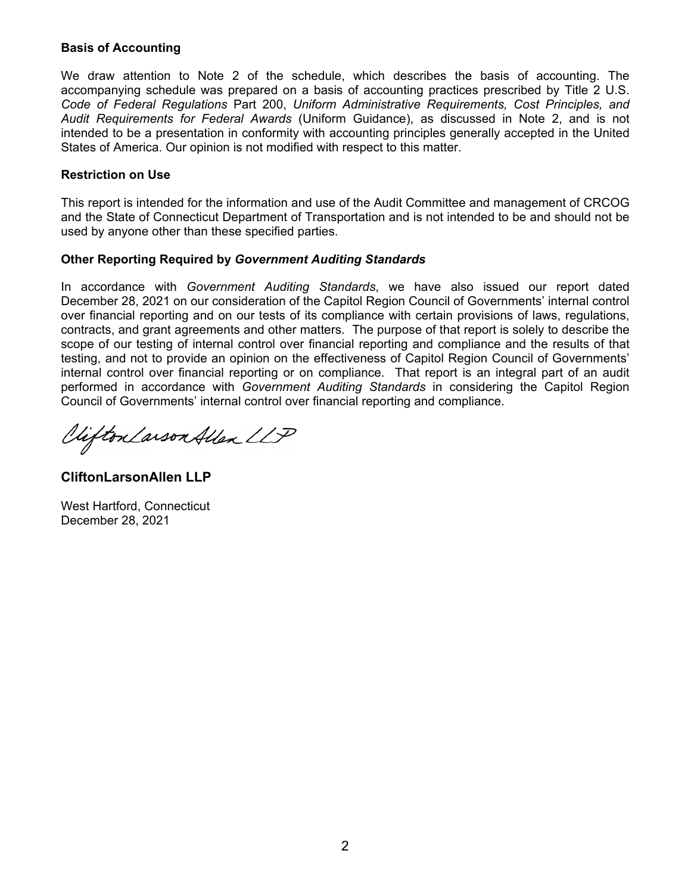## **Basis of Accounting**

We draw attention to Note 2 of the schedule, which describes the basis of accounting. The accompanying schedule was prepared on a basis of accounting practices prescribed by Title 2 U.S. *Code of Federal Regulations* Part 200, *Uniform Administrative Requirements, Cost Principles, and Audit Requirements for Federal Awards* (Uniform Guidance), as discussed in Note 2, and is not intended to be a presentation in conformity with accounting principles generally accepted in the United States of America. Our opinion is not modified with respect to this matter.

#### **Restriction on Use**

This report is intended for the information and use of the Audit Committee and management of CRCOG and the State of Connecticut Department of Transportation and is not intended to be and should not be used by anyone other than these specified parties.

## **Other Reporting Required by** *Government Auditing Standards*

In accordance with *Government Auditing Standards*, we have also issued our report dated December 28, 2021 on our consideration of the Capitol Region Council of Governments' internal control over financial reporting and on our tests of its compliance with certain provisions of laws, regulations, contracts, and grant agreements and other matters. The purpose of that report is solely to describe the scope of our testing of internal control over financial reporting and compliance and the results of that testing, and not to provide an opinion on the effectiveness of Capitol Region Council of Governments' internal control over financial reporting or on compliance. That report is an integral part of an audit performed in accordance with *Government Auditing Standards* in considering the Capitol Region Council of Governments' internal control over financial reporting and compliance.

Viifton Larson Allen LLP

**CliftonLarsonAllen LLP** 

West Hartford, Connecticut December 28, 2021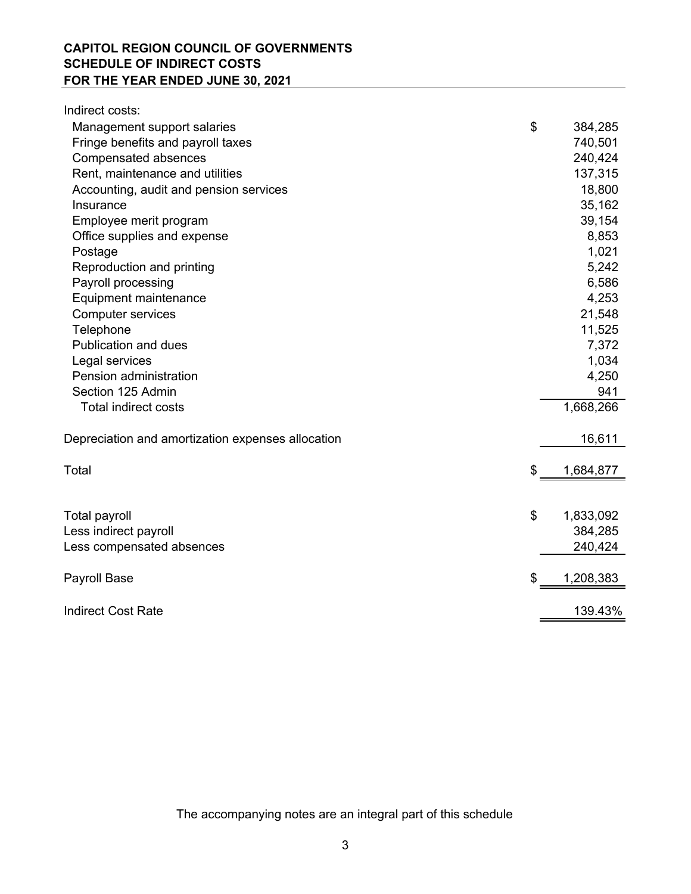# **FOR THE YEAR ENDED JUNE 30, 2021 CAPITOL REGION COUNCIL OF GOVERNMENTS SCHEDULE OF INDIRECT COSTS**

| Indirect costs:                                   |       |           |  |
|---------------------------------------------------|-------|-----------|--|
| Management support salaries                       | \$    | 384,285   |  |
| Fringe benefits and payroll taxes                 |       | 740,501   |  |
| Compensated absences                              |       | 240,424   |  |
| Rent, maintenance and utilities                   |       | 137,315   |  |
| Accounting, audit and pension services            |       | 18,800    |  |
| Insurance                                         |       | 35,162    |  |
| Employee merit program                            |       | 39,154    |  |
| Office supplies and expense                       |       | 8,853     |  |
| Postage                                           |       | 1,021     |  |
| Reproduction and printing                         |       | 5,242     |  |
| Payroll processing                                |       | 6,586     |  |
| Equipment maintenance                             |       | 4,253     |  |
| <b>Computer services</b>                          |       | 21,548    |  |
| Telephone                                         |       | 11,525    |  |
| <b>Publication and dues</b>                       | 7,372 |           |  |
| Legal services                                    | 1,034 |           |  |
| Pension administration                            | 4,250 |           |  |
| Section 125 Admin                                 |       | 941       |  |
| <b>Total indirect costs</b>                       |       | 1,668,266 |  |
| Depreciation and amortization expenses allocation |       | 16,611    |  |
| Total                                             |       | 1,684,877 |  |
| <b>Total payroll</b>                              | \$    | 1,833,092 |  |
| Less indirect payroll                             |       | 384,285   |  |
| Less compensated absences                         |       | 240,424   |  |
| <b>Payroll Base</b>                               | \$    | 1,208,383 |  |
| <b>Indirect Cost Rate</b>                         |       | 139.43%   |  |

The accompanying notes are an integral part of this schedule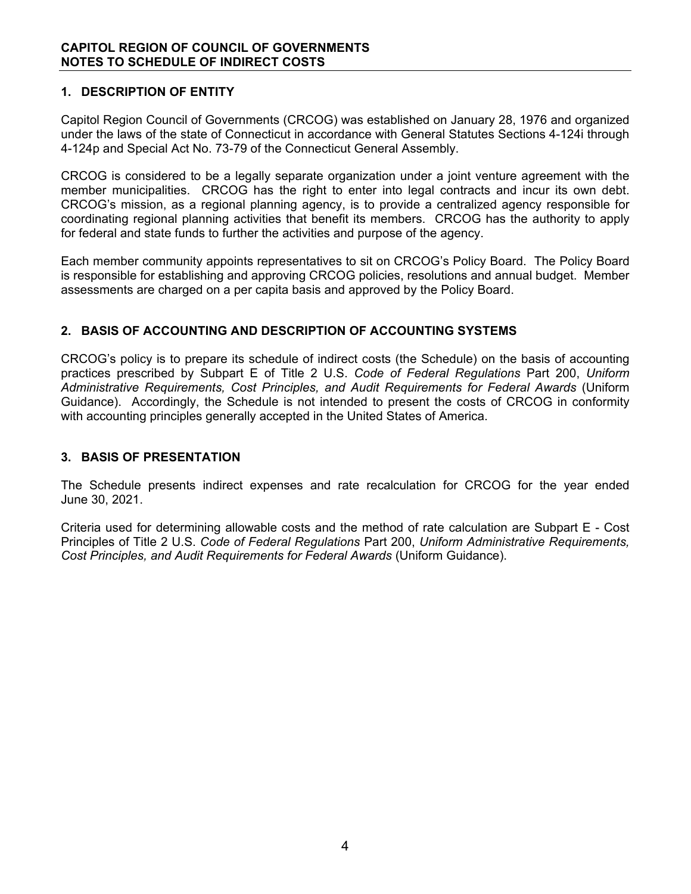# **1. DESCRIPTION OF ENTITY**

Capitol Region Council of Governments (CRCOG) was established on January 28, 1976 and organized under the laws of the state of Connecticut in accordance with General Statutes Sections 4-124i through 4-124p and Special Act No. 73-79 of the Connecticut General Assembly.

CRCOG is considered to be a legally separate organization under a joint venture agreement with the member municipalities. CRCOG has the right to enter into legal contracts and incur its own debt. CRCOG's mission, as a regional planning agency, is to provide a centralized agency responsible for coordinating regional planning activities that benefit its members. CRCOG has the authority to apply for federal and state funds to further the activities and purpose of the agency.

Each member community appoints representatives to sit on CRCOG's Policy Board. The Policy Board is responsible for establishing and approving CRCOG policies, resolutions and annual budget. Member assessments are charged on a per capita basis and approved by the Policy Board.

# **2. BASIS OF ACCOUNTING AND DESCRIPTION OF ACCOUNTING SYSTEMS**

CRCOG's policy is to prepare its schedule of indirect costs (the Schedule) on the basis of accounting practices prescribed by Subpart E of Title 2 U.S. *Code of Federal Regulations* Part 200, *Uniform Administrative Requirements, Cost Principles, and Audit Requirements for Federal Awards* (Uniform Guidance). Accordingly, the Schedule is not intended to present the costs of CRCOG in conformity with accounting principles generally accepted in the United States of America.

## **3. BASIS OF PRESENTATION**

The Schedule presents indirect expenses and rate recalculation for CRCOG for the year ended June 30, 2021.

Criteria used for determining allowable costs and the method of rate calculation are Subpart E - Cost Principles of Title 2 U.S. *Code of Federal Regulations* Part 200, *Uniform Administrative Requirements, Cost Principles, and Audit Requirements for Federal Awards* (Uniform Guidance).